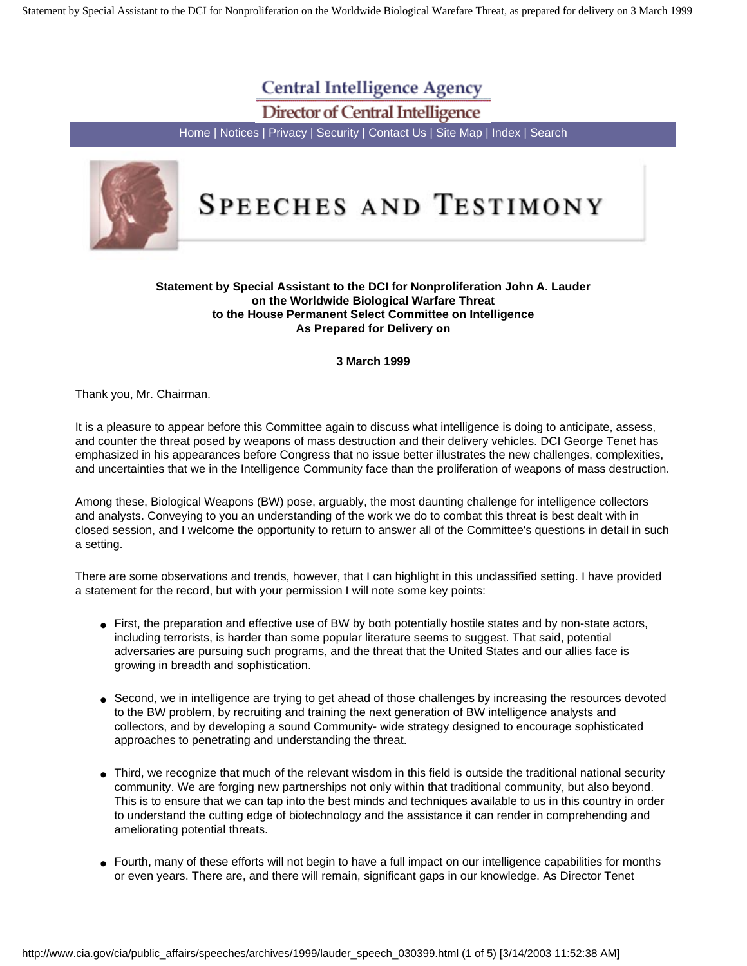Statement by Special Assistant to the DCI for Nonproliferation on the Worldwide Biological Warefare Threat, as prepared for delivery on 3 March 1999

# **Central Intelligence Agency**

**Director of Central Intelligence** 

[Home](http://www.cia.gov/index.html) | [Notices](http://www.cia.gov/cia/notices.html) | [Privacy](http://www.cia.gov/cia/notices.html#priv) | [Security](http://www.cia.gov/cia/notices.html#sec) | [Contact Us](http://www.cia.gov/cia/contact.htm) | [Site Map](http://www.cia.gov/cia/sitemap.html) | [Index](http://www.cia.gov/cia/siteindex.html) | [Search](http://www.cia.gov/search)



# SPEECHES AND TESTIMONY

# **Statement by Special Assistant to the DCI for Nonproliferation John A. Lauder on the Worldwide Biological Warfare Threat to the House Permanent Select Committee on Intelligence As Prepared for Delivery on**

# **3 March 1999**

Thank you, Mr. Chairman.

It is a pleasure to appear before this Committee again to discuss what intelligence is doing to anticipate, assess, and counter the threat posed by weapons of mass destruction and their delivery vehicles. DCI George Tenet has emphasized in his appearances before Congress that no issue better illustrates the new challenges, complexities, and uncertainties that we in the Intelligence Community face than the proliferation of weapons of mass destruction.

Among these, Biological Weapons (BW) pose, arguably, the most daunting challenge for intelligence collectors and analysts. Conveying to you an understanding of the work we do to combat this threat is best dealt with in closed session, and I welcome the opportunity to return to answer all of the Committee's questions in detail in such a setting.

There are some observations and trends, however, that I can highlight in this unclassified setting. I have provided a statement for the record, but with your permission I will note some key points:

- First, the preparation and effective use of BW by both potentially hostile states and by non-state actors, including terrorists, is harder than some popular literature seems to suggest. That said, potential adversaries are pursuing such programs, and the threat that the United States and our allies face is growing in breadth and sophistication.
- Second, we in intelligence are trying to get ahead of those challenges by increasing the resources devoted to the BW problem, by recruiting and training the next generation of BW intelligence analysts and collectors, and by developing a sound Community- wide strategy designed to encourage sophisticated approaches to penetrating and understanding the threat.
- Third, we recognize that much of the relevant wisdom in this field is outside the traditional national security community. We are forging new partnerships not only within that traditional community, but also beyond. This is to ensure that we can tap into the best minds and techniques available to us in this country in order to understand the cutting edge of biotechnology and the assistance it can render in comprehending and ameliorating potential threats.
- Fourth, many of these efforts will not begin to have a full impact on our intelligence capabilities for months or even years. There are, and there will remain, significant gaps in our knowledge. As Director Tenet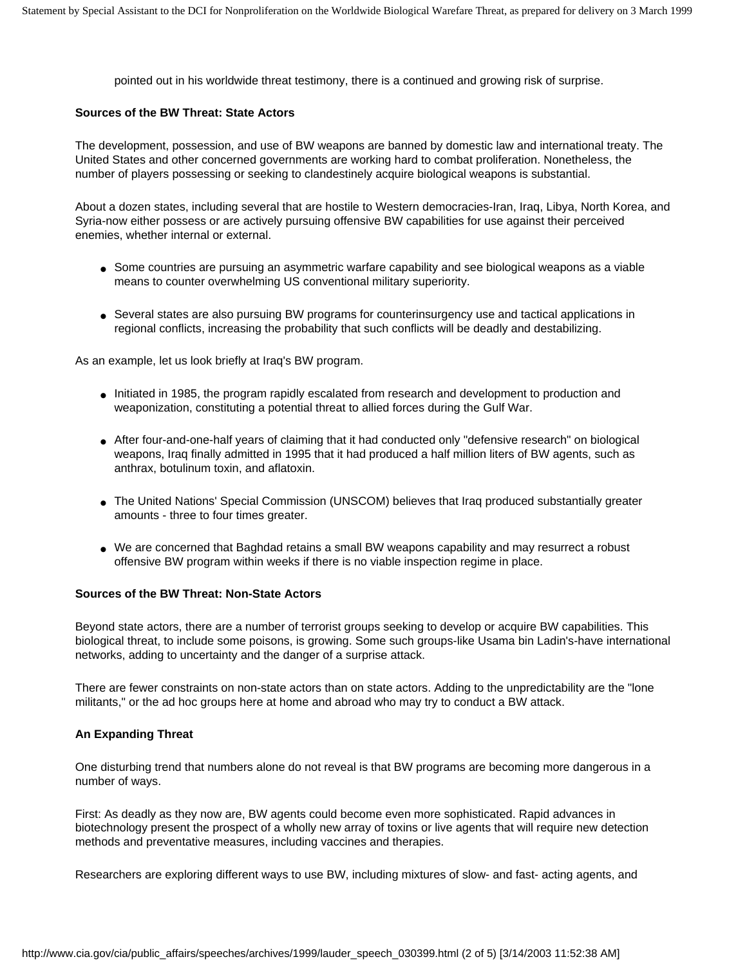pointed out in his worldwide threat testimony, there is a continued and growing risk of surprise.

#### **Sources of the BW Threat: State Actors**

The development, possession, and use of BW weapons are banned by domestic law and international treaty. The United States and other concerned governments are working hard to combat proliferation. Nonetheless, the number of players possessing or seeking to clandestinely acquire biological weapons is substantial.

About a dozen states, including several that are hostile to Western democracies-Iran, Iraq, Libya, North Korea, and Syria-now either possess or are actively pursuing offensive BW capabilities for use against their perceived enemies, whether internal or external.

- Some countries are pursuing an asymmetric warfare capability and see biological weapons as a viable means to counter overwhelming US conventional military superiority.
- Several states are also pursuing BW programs for counterinsurgency use and tactical applications in regional conflicts, increasing the probability that such conflicts will be deadly and destabilizing.

As an example, let us look briefly at Iraq's BW program.

- Initiated in 1985, the program rapidly escalated from research and development to production and weaponization, constituting a potential threat to allied forces during the Gulf War.
- After four-and-one-half years of claiming that it had conducted only "defensive research" on biological weapons, Iraq finally admitted in 1995 that it had produced a half million liters of BW agents, such as anthrax, botulinum toxin, and aflatoxin.
- The United Nations' Special Commission (UNSCOM) believes that Iraq produced substantially greater amounts - three to four times greater.
- We are concerned that Baghdad retains a small BW weapons capability and may resurrect a robust offensive BW program within weeks if there is no viable inspection regime in place.

# **Sources of the BW Threat: Non-State Actors**

Beyond state actors, there are a number of terrorist groups seeking to develop or acquire BW capabilities. This biological threat, to include some poisons, is growing. Some such groups-like Usama bin Ladin's-have international networks, adding to uncertainty and the danger of a surprise attack.

There are fewer constraints on non-state actors than on state actors. Adding to the unpredictability are the "lone militants," or the ad hoc groups here at home and abroad who may try to conduct a BW attack.

#### **An Expanding Threat**

One disturbing trend that numbers alone do not reveal is that BW programs are becoming more dangerous in a number of ways.

First: As deadly as they now are, BW agents could become even more sophisticated. Rapid advances in biotechnology present the prospect of a wholly new array of toxins or live agents that will require new detection methods and preventative measures, including vaccines and therapies.

Researchers are exploring different ways to use BW, including mixtures of slow- and fast- acting agents, and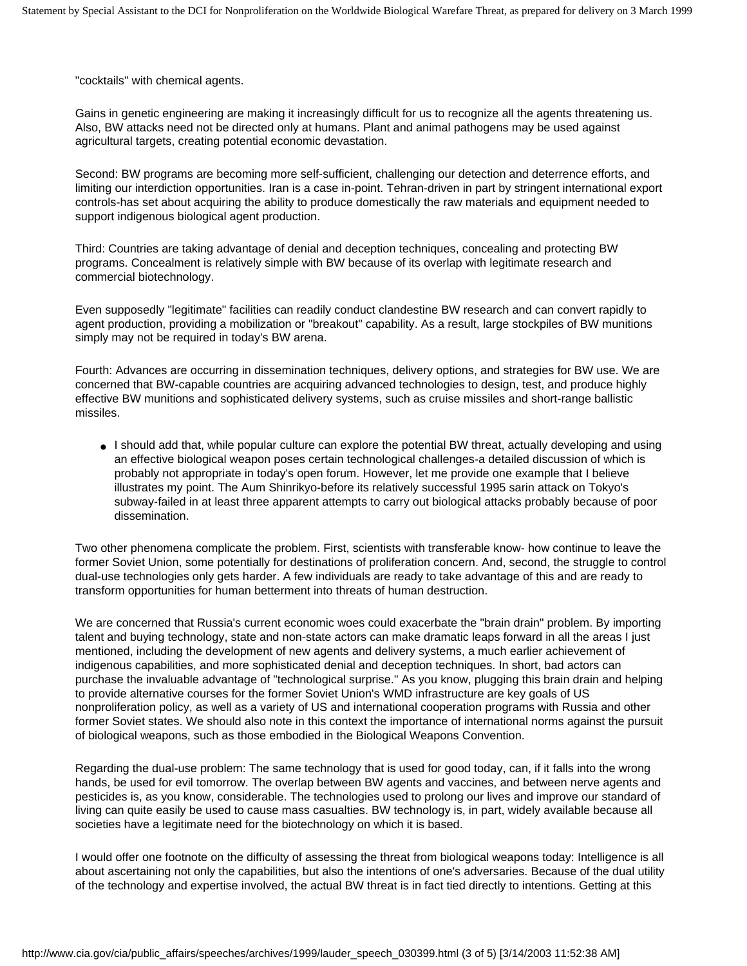"cocktails" with chemical agents.

Gains in genetic engineering are making it increasingly difficult for us to recognize all the agents threatening us. Also, BW attacks need not be directed only at humans. Plant and animal pathogens may be used against agricultural targets, creating potential economic devastation.

Second: BW programs are becoming more self-sufficient, challenging our detection and deterrence efforts, and limiting our interdiction opportunities. Iran is a case in-point. Tehran-driven in part by stringent international export controls-has set about acquiring the ability to produce domestically the raw materials and equipment needed to support indigenous biological agent production.

Third: Countries are taking advantage of denial and deception techniques, concealing and protecting BW programs. Concealment is relatively simple with BW because of its overlap with legitimate research and commercial biotechnology.

Even supposedly "legitimate" facilities can readily conduct clandestine BW research and can convert rapidly to agent production, providing a mobilization or "breakout" capability. As a result, large stockpiles of BW munitions simply may not be required in today's BW arena.

Fourth: Advances are occurring in dissemination techniques, delivery options, and strategies for BW use. We are concerned that BW-capable countries are acquiring advanced technologies to design, test, and produce highly effective BW munitions and sophisticated delivery systems, such as cruise missiles and short-range ballistic missiles.

● I should add that, while popular culture can explore the potential BW threat, actually developing and using an effective biological weapon poses certain technological challenges-a detailed discussion of which is probably not appropriate in today's open forum. However, let me provide one example that I believe illustrates my point. The Aum Shinrikyo-before its relatively successful 1995 sarin attack on Tokyo's subway-failed in at least three apparent attempts to carry out biological attacks probably because of poor dissemination.

Two other phenomena complicate the problem. First, scientists with transferable know- how continue to leave the former Soviet Union, some potentially for destinations of proliferation concern. And, second, the struggle to control dual-use technologies only gets harder. A few individuals are ready to take advantage of this and are ready to transform opportunities for human betterment into threats of human destruction.

We are concerned that Russia's current economic woes could exacerbate the "brain drain" problem. By importing talent and buying technology, state and non-state actors can make dramatic leaps forward in all the areas I just mentioned, including the development of new agents and delivery systems, a much earlier achievement of indigenous capabilities, and more sophisticated denial and deception techniques. In short, bad actors can purchase the invaluable advantage of "technological surprise." As you know, plugging this brain drain and helping to provide alternative courses for the former Soviet Union's WMD infrastructure are key goals of US nonproliferation policy, as well as a variety of US and international cooperation programs with Russia and other former Soviet states. We should also note in this context the importance of international norms against the pursuit of biological weapons, such as those embodied in the Biological Weapons Convention.

Regarding the dual-use problem: The same technology that is used for good today, can, if it falls into the wrong hands, be used for evil tomorrow. The overlap between BW agents and vaccines, and between nerve agents and pesticides is, as you know, considerable. The technologies used to prolong our lives and improve our standard of living can quite easily be used to cause mass casualties. BW technology is, in part, widely available because all societies have a legitimate need for the biotechnology on which it is based.

I would offer one footnote on the difficulty of assessing the threat from biological weapons today: Intelligence is all about ascertaining not only the capabilities, but also the intentions of one's adversaries. Because of the dual utility of the technology and expertise involved, the actual BW threat is in fact tied directly to intentions. Getting at this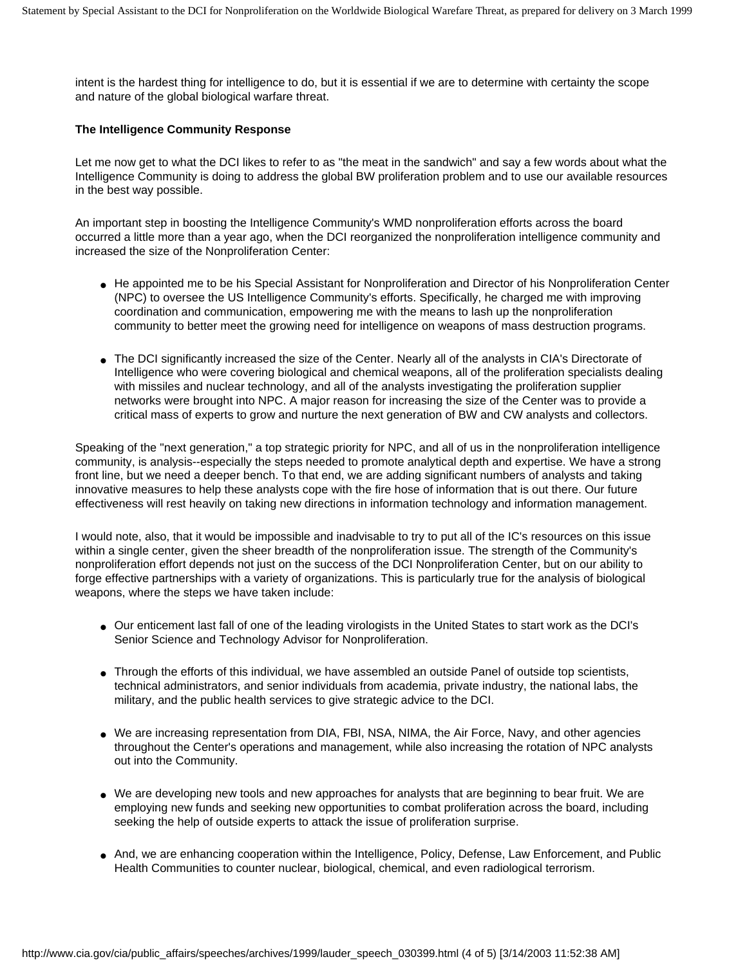intent is the hardest thing for intelligence to do, but it is essential if we are to determine with certainty the scope and nature of the global biological warfare threat.

#### **The Intelligence Community Response**

Let me now get to what the DCI likes to refer to as "the meat in the sandwich" and say a few words about what the Intelligence Community is doing to address the global BW proliferation problem and to use our available resources in the best way possible.

An important step in boosting the Intelligence Community's WMD nonproliferation efforts across the board occurred a little more than a year ago, when the DCI reorganized the nonproliferation intelligence community and increased the size of the Nonproliferation Center:

- He appointed me to be his Special Assistant for Nonproliferation and Director of his Nonproliferation Center (NPC) to oversee the US Intelligence Community's efforts. Specifically, he charged me with improving coordination and communication, empowering me with the means to lash up the nonproliferation community to better meet the growing need for intelligence on weapons of mass destruction programs.
- The DCI significantly increased the size of the Center. Nearly all of the analysts in CIA's Directorate of Intelligence who were covering biological and chemical weapons, all of the proliferation specialists dealing with missiles and nuclear technology, and all of the analysts investigating the proliferation supplier networks were brought into NPC. A major reason for increasing the size of the Center was to provide a critical mass of experts to grow and nurture the next generation of BW and CW analysts and collectors.

Speaking of the "next generation," a top strategic priority for NPC, and all of us in the nonproliferation intelligence community, is analysis--especially the steps needed to promote analytical depth and expertise. We have a strong front line, but we need a deeper bench. To that end, we are adding significant numbers of analysts and taking innovative measures to help these analysts cope with the fire hose of information that is out there. Our future effectiveness will rest heavily on taking new directions in information technology and information management.

I would note, also, that it would be impossible and inadvisable to try to put all of the IC's resources on this issue within a single center, given the sheer breadth of the nonproliferation issue. The strength of the Community's nonproliferation effort depends not just on the success of the DCI Nonproliferation Center, but on our ability to forge effective partnerships with a variety of organizations. This is particularly true for the analysis of biological weapons, where the steps we have taken include:

- Our enticement last fall of one of the leading virologists in the United States to start work as the DCI's Senior Science and Technology Advisor for Nonproliferation.
- Through the efforts of this individual, we have assembled an outside Panel of outside top scientists, technical administrators, and senior individuals from academia, private industry, the national labs, the military, and the public health services to give strategic advice to the DCI.
- We are increasing representation from DIA, FBI, NSA, NIMA, the Air Force, Navy, and other agencies throughout the Center's operations and management, while also increasing the rotation of NPC analysts out into the Community.
- We are developing new tools and new approaches for analysts that are beginning to bear fruit. We are employing new funds and seeking new opportunities to combat proliferation across the board, including seeking the help of outside experts to attack the issue of proliferation surprise.
- And, we are enhancing cooperation within the Intelligence, Policy, Defense, Law Enforcement, and Public Health Communities to counter nuclear, biological, chemical, and even radiological terrorism.